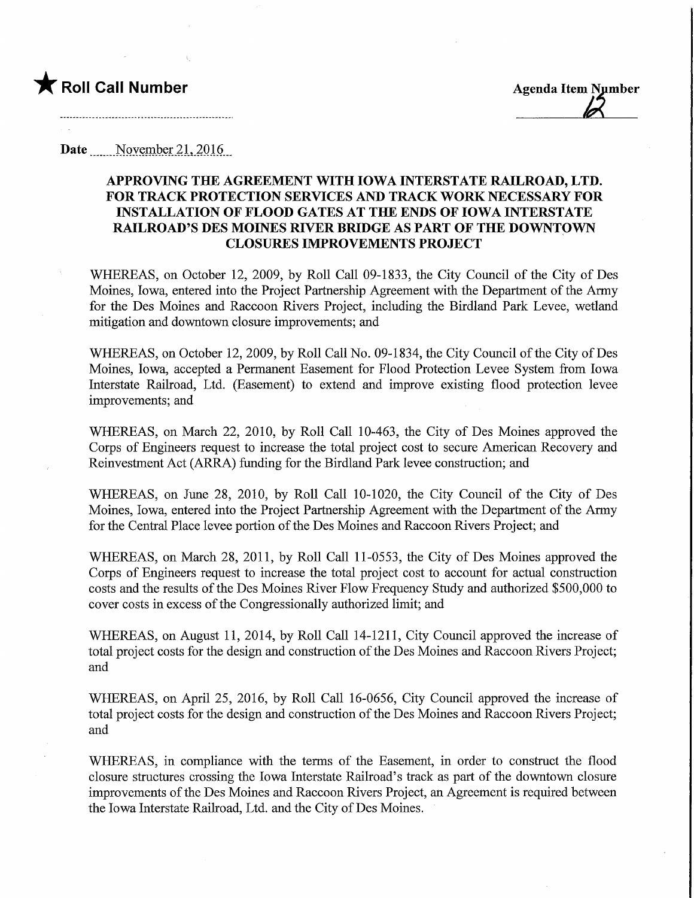

Date Movember 21, 2016

## APPROVING THE AGREEMENT WITH IOWA INTERSTATE RAILROAD, LTD. FOR TRACK PROTECTION SERVICES AND TRACK WORK NECESSARY FOR INSTALLATION OF FLOOD GATES AT THE ENDS OF IOWA INTERSTATE RAILROAD'S DES MOINES RIVER BMDGE AS PART OF THE DOWNTOWN CLOSURES IMPROVEMENTS PROJECT

WHEREAS, on October 12, 2009, by Roll Call 09-1833, the City Council of the City of Des Moines, Iowa, entered into the Project Partnership Agreement with the Department of the Army for the Des Moines and Raccoon Rivers Project, including the Birdland Park Levee, wetland mitigation and downtown closure improvements; and

WHEREAS, on October 12, 2009, by Roll Call No. 09-1834, the City Council of the City of Des Moines, Iowa, accepted a Permanent Easement for Flood Protection Levee System from Iowa Interstate Railroad, Ltd. (Easement) to extend and improve existing flood protection levee improvements; and

WHEREAS, on March 22, 2010, by Roll Call 10-463, the City of Des Moines approved the Corps of Engineers request to increase the total project cost to secure American Recovery and Reinvestment Act (ARRA) funding for the Birdland Park levee construction; and

WHEREAS, on June 28, 2010, by Roll Call 10-1020, the City Council of the City of Des Moines, Iowa, entered into the Project Partnership Agreement with the Department of the Army for the Central Place levee portion of the Des Moines and Raccoon Rivers Project; and

WHEREAS, on March 28, 2011, by Roll Call 11-0553, the City of Des Moines approved the Corps of Engineers request to increase the total project cost to account for actual construction costs and the results of the Des Moines River Flow Frequency Study and authorized \$500,000 to cover costs in excess of the Congressionally authorized limit; and

WHEREAS, on August 11, 2014, by Roll Call 14-1211, City Council approved the increase of total project costs for the design and construction of the Des Moines and Raccoon Rivers Project; and

WHEREAS, on April 25, 2016, by Roll Call 16-0656, City Council approved the increase of total project costs for the design and construction of the Des Moines and Raccoon Rivers Project; and

WHEREAS, in compliance with the terms of the Easement, in order to construct the flood closure structures crossing the Iowa Interstate Railroad's track as part of the downtown closure improvements of the Des Moines and Raccoon Rivers Project, an Agreement is required between the Iowa Interstate Railroad, Ltd. and the City of Des Moines.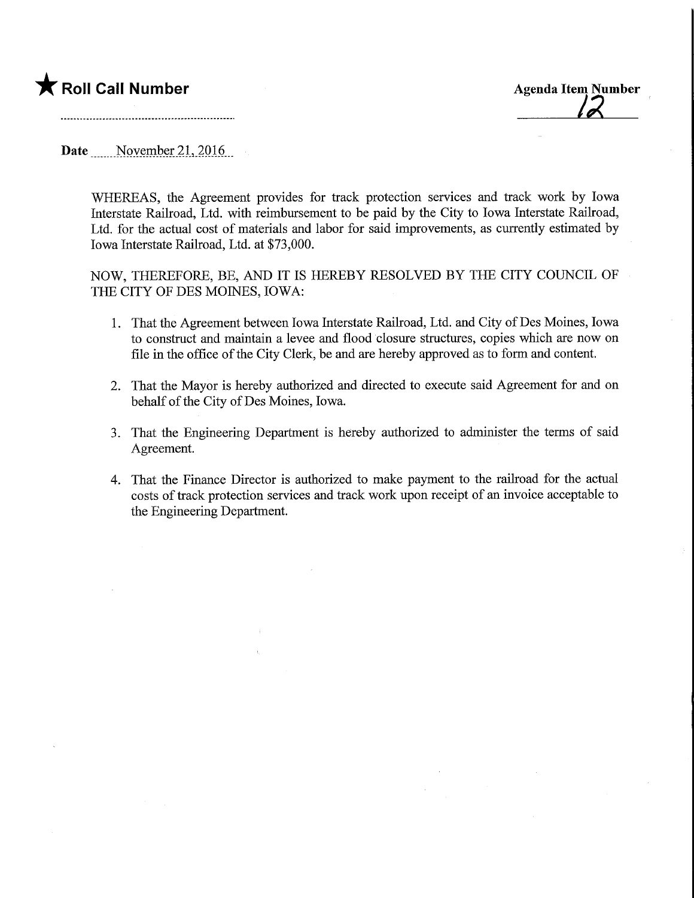## **T** Roll Call Number Agenda Item Number



Date November 21, 2016

WHEREAS, the Agreement provides for track protection services and track work by Iowa Interstate Railroad, Ltd. with reimbursement to be paid by the City to Iowa Interstate Railroad, Ltd. for the actual cost of materials and labor for said improvements, as currently estimated by Iowa Interstate Railroad, Ltd. at \$73,000.

NOW, THEREFORE, BE, AND IT IS HEREBY RESOLVED BY THE CITY COUNCIL OF THE CITY OF DES MOINES, IOWA:

- 1. That the Agreement between Iowa Interstate Railroad, Ltd. and City of Des Moines, Iowa to construct and maintain a levee and flood closure structures, copies which are now on file in the office of the City Clerk, be and are hereby approved as to form and content.
- 2. That the Mayor is hereby authorized and directed to execute said Agreement for and on behalf of the City of Des Moines, Iowa.
- 3. That the Engineering Department is hereby authorized to administer the terms of said Agreement.
- 4. That the Finance Director is authorized to make payment to the railroad for the actual costs of track protection services and track work upon receipt of an invoice acceptable to the Engineering Department.